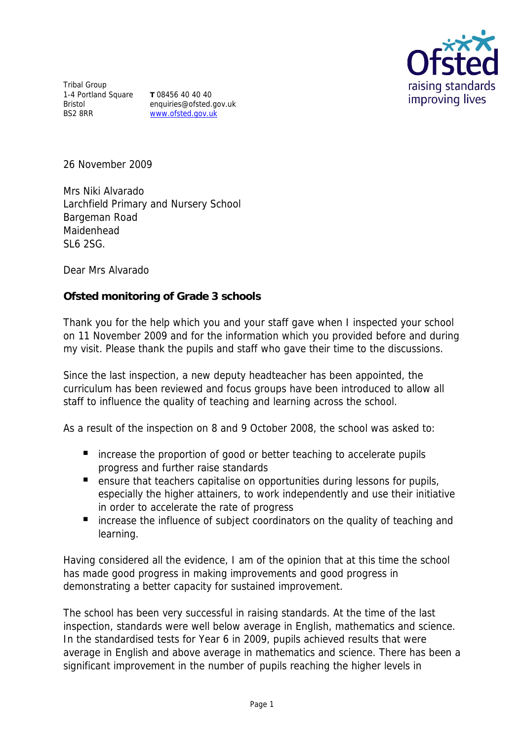

Tribal Group 1-4 Portland Square Bristol BS2 8RR

**T** 08456 40 40 40 enquiries@ofsted.gov.uk www.ofsted.gov.uk

26 November 2009

Mrs Niki Alvarado Larchfield Primary and Nursery School Bargeman Road Maidenhead SL6 2SG.

Dear Mrs Alvarado

**Ofsted monitoring of Grade 3 schools**

Thank you for the help which you and your staff gave when I inspected your school on 11 November 2009 and for the information which you provided before and during my visit. Please thank the pupils and staff who gave their time to the discussions.

Since the last inspection, a new deputy headteacher has been appointed, the curriculum has been reviewed and focus groups have been introduced to allow all staff to influence the quality of teaching and learning across the school.

As a result of the inspection on 8 and 9 October 2008, the school was asked to:

- increase the proportion of good or better teaching to accelerate pupils progress and further raise standards
- **E** ensure that teachers capitalise on opportunities during lessons for pupils, especially the higher attainers, to work independently and use their initiative in order to accelerate the rate of progress
- increase the influence of subject coordinators on the quality of teaching and learning.

Having considered all the evidence, I am of the opinion that at this time the school has made good progress in making improvements and good progress in demonstrating a better capacity for sustained improvement.

The school has been very successful in raising standards. At the time of the last inspection, standards were well below average in English, mathematics and science. In the standardised tests for Year 6 in 2009, pupils achieved results that were average in English and above average in mathematics and science. There has been a significant improvement in the number of pupils reaching the higher levels in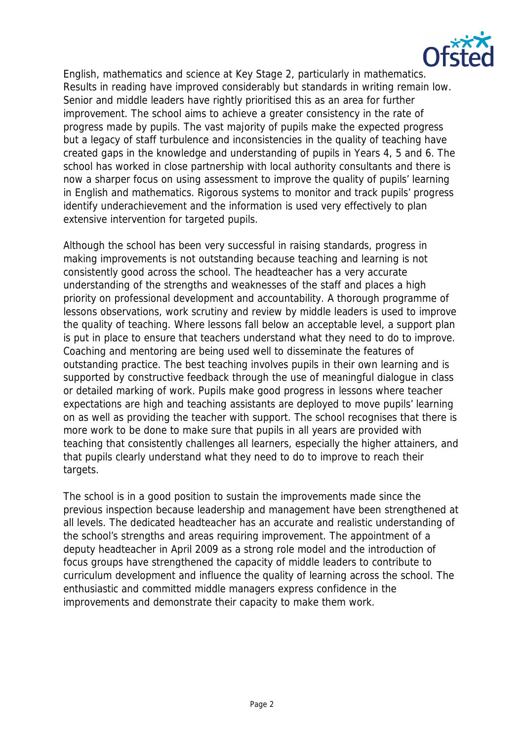

English, mathematics and science at Key Stage 2, particularly in mathematics. Results in reading have improved considerably but standards in writing remain low. Senior and middle leaders have rightly prioritised this as an area for further improvement. The school aims to achieve a greater consistency in the rate of progress made by pupils. The vast majority of pupils make the expected progress but a legacy of staff turbulence and inconsistencies in the quality of teaching have created gaps in the knowledge and understanding of pupils in Years 4, 5 and 6. The school has worked in close partnership with local authority consultants and there is now a sharper focus on using assessment to improve the quality of pupils' learning in English and mathematics. Rigorous systems to monitor and track pupils' progress identify underachievement and the information is used very effectively to plan extensive intervention for targeted pupils.

Although the school has been very successful in raising standards, progress in making improvements is not outstanding because teaching and learning is not consistently good across the school. The headteacher has a very accurate understanding of the strengths and weaknesses of the staff and places a high priority on professional development and accountability. A thorough programme of lessons observations, work scrutiny and review by middle leaders is used to improve the quality of teaching. Where lessons fall below an acceptable level, a support plan is put in place to ensure that teachers understand what they need to do to improve. Coaching and mentoring are being used well to disseminate the features of outstanding practice. The best teaching involves pupils in their own learning and is supported by constructive feedback through the use of meaningful dialogue in class or detailed marking of work. Pupils make good progress in lessons where teacher expectations are high and teaching assistants are deployed to move pupils' learning on as well as providing the teacher with support. The school recognises that there is more work to be done to make sure that pupils in all years are provided with teaching that consistently challenges all learners, especially the higher attainers, and that pupils clearly understand what they need to do to improve to reach their targets.

The school is in a good position to sustain the improvements made since the previous inspection because leadership and management have been strengthened at all levels. The dedicated headteacher has an accurate and realistic understanding of the school's strengths and areas requiring improvement. The appointment of a deputy headteacher in April 2009 as a strong role model and the introduction of focus groups have strengthened the capacity of middle leaders to contribute to curriculum development and influence the quality of learning across the school. The enthusiastic and committed middle managers express confidence in the improvements and demonstrate their capacity to make them work.